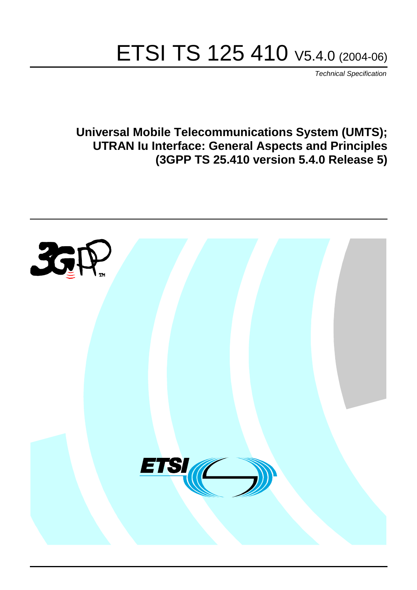# ETSI TS 125 410 V5.4.0 (2004-06)

Technical Specification

**Universal Mobile Telecommunications System (UMTS); UTRAN Iu Interface: General Aspects and Principles (3GPP TS 25.410 version 5.4.0 Release 5)**

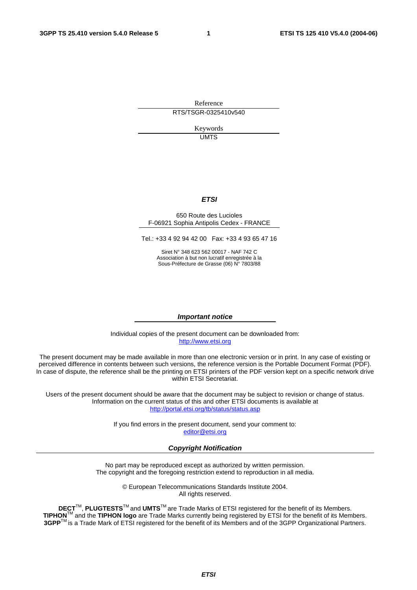Reference RTS/TSGR-0325410v540

> Keywords UMTS

#### **ETSI**

#### 650 Route des Lucioles F-06921 Sophia Antipolis Cedex - FRANCE

Tel.: +33 4 92 94 42 00 Fax: +33 4 93 65 47 16

Siret N° 348 623 562 00017 - NAF 742 C Association à but non lucratif enregistrée à la Sous-Préfecture de Grasse (06) N° 7803/88

#### **Important notice**

Individual copies of the present document can be downloaded from: [http://www.etsi.org](http://www.etsi.org/)

The present document may be made available in more than one electronic version or in print. In any case of existing or perceived difference in contents between such versions, the reference version is the Portable Document Format (PDF). In case of dispute, the reference shall be the printing on ETSI printers of the PDF version kept on a specific network drive within ETSI Secretariat.

Users of the present document should be aware that the document may be subject to revision or change of status. Information on the current status of this and other ETSI documents is available at <http://portal.etsi.org/tb/status/status.asp>

> If you find errors in the present document, send your comment to: [editor@etsi.org](mailto:editor@etsi.org)

#### **Copyright Notification**

No part may be reproduced except as authorized by written permission. The copyright and the foregoing restriction extend to reproduction in all media.

> © European Telecommunications Standards Institute 2004. All rights reserved.

**DECT**TM, **PLUGTESTS**TM and **UMTS**TM are Trade Marks of ETSI registered for the benefit of its Members. **TIPHON**TM and the **TIPHON logo** are Trade Marks currently being registered by ETSI for the benefit of its Members. **3GPP**TM is a Trade Mark of ETSI registered for the benefit of its Members and of the 3GPP Organizational Partners.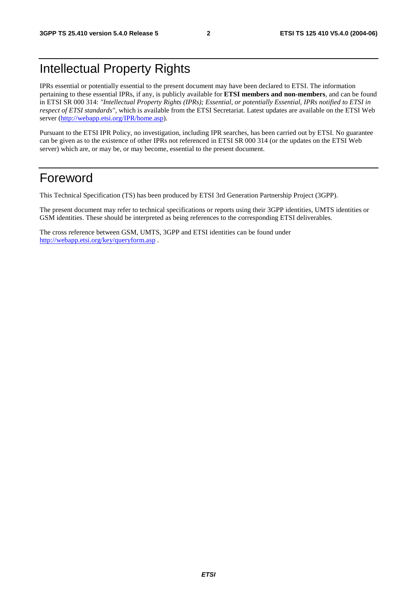## Intellectual Property Rights

IPRs essential or potentially essential to the present document may have been declared to ETSI. The information pertaining to these essential IPRs, if any, is publicly available for **ETSI members and non-members**, and can be found in ETSI SR 000 314: *"Intellectual Property Rights (IPRs); Essential, or potentially Essential, IPRs notified to ETSI in respect of ETSI standards"*, which is available from the ETSI Secretariat. Latest updates are available on the ETSI Web server (<http://webapp.etsi.org/IPR/home.asp>).

Pursuant to the ETSI IPR Policy, no investigation, including IPR searches, has been carried out by ETSI. No guarantee can be given as to the existence of other IPRs not referenced in ETSI SR 000 314 (or the updates on the ETSI Web server) which are, or may be, or may become, essential to the present document.

### Foreword

This Technical Specification (TS) has been produced by ETSI 3rd Generation Partnership Project (3GPP).

The present document may refer to technical specifications or reports using their 3GPP identities, UMTS identities or GSM identities. These should be interpreted as being references to the corresponding ETSI deliverables.

The cross reference between GSM, UMTS, 3GPP and ETSI identities can be found under <http://webapp.etsi.org/key/queryform.asp>.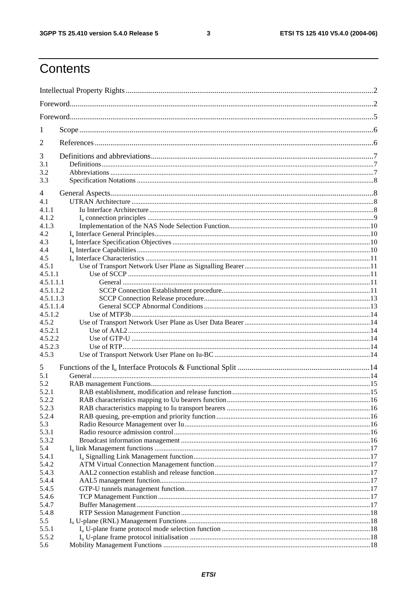$\mathbf{3}$ 

## Contents

| 1                |  |  |  |  |  |  |  |
|------------------|--|--|--|--|--|--|--|
| 2                |  |  |  |  |  |  |  |
| 3                |  |  |  |  |  |  |  |
| 3.1<br>3.2       |  |  |  |  |  |  |  |
| 3.3              |  |  |  |  |  |  |  |
| 4                |  |  |  |  |  |  |  |
| 4.1              |  |  |  |  |  |  |  |
| 4.1.1            |  |  |  |  |  |  |  |
| 4.1.2            |  |  |  |  |  |  |  |
| 4.1.3            |  |  |  |  |  |  |  |
| 4.2              |  |  |  |  |  |  |  |
| 4.3              |  |  |  |  |  |  |  |
| 4.4              |  |  |  |  |  |  |  |
| 4.5              |  |  |  |  |  |  |  |
| 4.5.1            |  |  |  |  |  |  |  |
| 4.5.1.1          |  |  |  |  |  |  |  |
| 4.5.1.1.1        |  |  |  |  |  |  |  |
| 4.5.1.1.2        |  |  |  |  |  |  |  |
| 4.5.1.1.3        |  |  |  |  |  |  |  |
| 4.5.1.1.4        |  |  |  |  |  |  |  |
| 4.5.1.2          |  |  |  |  |  |  |  |
| 4.5.2<br>4.5.2.1 |  |  |  |  |  |  |  |
| 4.5.2.2          |  |  |  |  |  |  |  |
| 4.5.2.3          |  |  |  |  |  |  |  |
| 4.5.3            |  |  |  |  |  |  |  |
|                  |  |  |  |  |  |  |  |
| 5                |  |  |  |  |  |  |  |
| 5.1              |  |  |  |  |  |  |  |
| 5.2              |  |  |  |  |  |  |  |
| 5.2.1<br>5.2.2   |  |  |  |  |  |  |  |
| 5.2.3            |  |  |  |  |  |  |  |
| 5.2.4            |  |  |  |  |  |  |  |
| 5.3              |  |  |  |  |  |  |  |
| 5.3.1            |  |  |  |  |  |  |  |
| 5.3.2            |  |  |  |  |  |  |  |
| 5.4              |  |  |  |  |  |  |  |
| 5.4.1            |  |  |  |  |  |  |  |
| 5.4.2            |  |  |  |  |  |  |  |
| 5.4.3            |  |  |  |  |  |  |  |
| 5.4.4            |  |  |  |  |  |  |  |
| 5.4.5            |  |  |  |  |  |  |  |
| 5.4.6            |  |  |  |  |  |  |  |
| 5.4.7            |  |  |  |  |  |  |  |
| 5.4.8            |  |  |  |  |  |  |  |
| 5.5              |  |  |  |  |  |  |  |
| 5.5.1            |  |  |  |  |  |  |  |
| 5.5.2            |  |  |  |  |  |  |  |
| 5.6              |  |  |  |  |  |  |  |
|                  |  |  |  |  |  |  |  |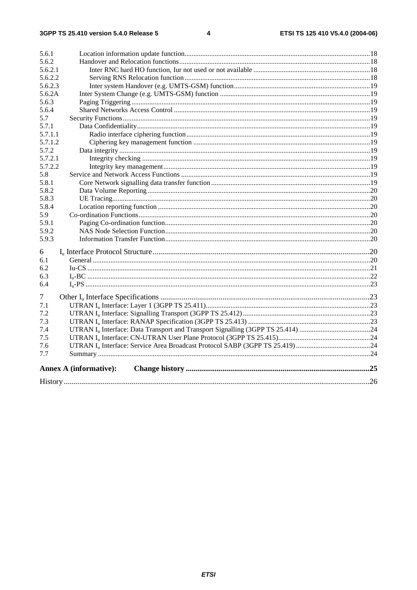| 5.6.1   |                               |  |  |  |  |  |  |
|---------|-------------------------------|--|--|--|--|--|--|
| 5.6.2   |                               |  |  |  |  |  |  |
| 5.6.2.1 |                               |  |  |  |  |  |  |
| 5.6.2.2 |                               |  |  |  |  |  |  |
| 5.6.2.3 |                               |  |  |  |  |  |  |
| 5.6.2A  |                               |  |  |  |  |  |  |
| 5.6.3   |                               |  |  |  |  |  |  |
| 5.6.4   |                               |  |  |  |  |  |  |
| 5.7     |                               |  |  |  |  |  |  |
| 5.7.1   |                               |  |  |  |  |  |  |
| 5.7.1.1 |                               |  |  |  |  |  |  |
| 5.7.1.2 |                               |  |  |  |  |  |  |
| 5.7.2   |                               |  |  |  |  |  |  |
| 5.7.2.1 |                               |  |  |  |  |  |  |
| 5.7.2.2 |                               |  |  |  |  |  |  |
| 5.8     |                               |  |  |  |  |  |  |
| 5.8.1   |                               |  |  |  |  |  |  |
| 5.8.2   |                               |  |  |  |  |  |  |
| 5.8.3   |                               |  |  |  |  |  |  |
| 5.8.4   |                               |  |  |  |  |  |  |
| 5.9     |                               |  |  |  |  |  |  |
| 5.9.1   |                               |  |  |  |  |  |  |
| 5.9.2   |                               |  |  |  |  |  |  |
| 5.9.3   |                               |  |  |  |  |  |  |
| 6       |                               |  |  |  |  |  |  |
| 6.1     |                               |  |  |  |  |  |  |
| 6.2     |                               |  |  |  |  |  |  |
| 6.3     |                               |  |  |  |  |  |  |
| 6.4     |                               |  |  |  |  |  |  |
| 7       |                               |  |  |  |  |  |  |
| 7.1     |                               |  |  |  |  |  |  |
| 7.2     |                               |  |  |  |  |  |  |
| 7.3     |                               |  |  |  |  |  |  |
| 7.4     |                               |  |  |  |  |  |  |
| 7.5     |                               |  |  |  |  |  |  |
| 7.6     |                               |  |  |  |  |  |  |
| 7.7     |                               |  |  |  |  |  |  |
|         | <b>Annex A (informative):</b> |  |  |  |  |  |  |
|         |                               |  |  |  |  |  |  |
|         |                               |  |  |  |  |  |  |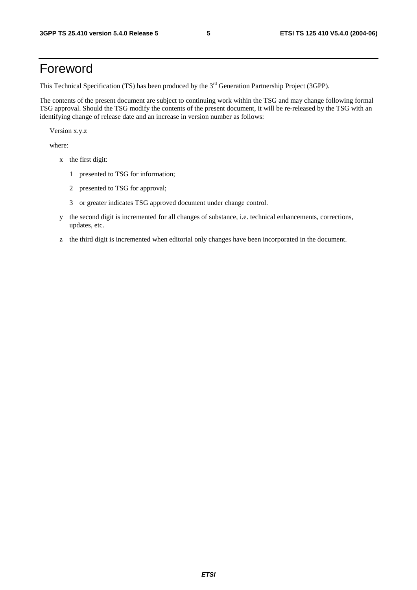## Foreword

This Technical Specification (TS) has been produced by the 3<sup>rd</sup> Generation Partnership Project (3GPP).

The contents of the present document are subject to continuing work within the TSG and may change following formal TSG approval. Should the TSG modify the contents of the present document, it will be re-released by the TSG with an identifying change of release date and an increase in version number as follows:

Version x.y.z

where:

- x the first digit:
	- 1 presented to TSG for information;
	- 2 presented to TSG for approval;
	- 3 or greater indicates TSG approved document under change control.
- y the second digit is incremented for all changes of substance, i.e. technical enhancements, corrections, updates, etc.
- z the third digit is incremented when editorial only changes have been incorporated in the document.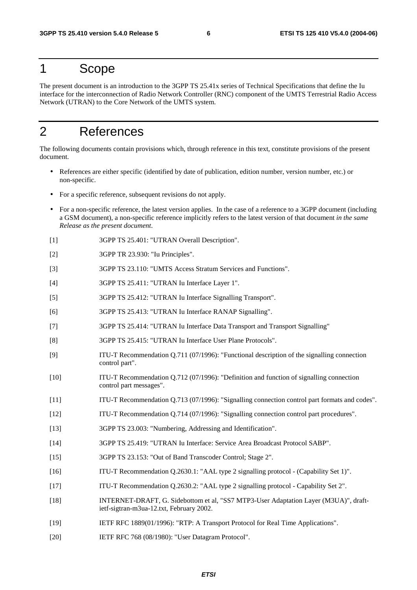### 1 Scope

The present document is an introduction to the 3GPP TS 25.41x series of Technical Specifications that define the Iu interface for the interconnection of Radio Network Controller (RNC) component of the UMTS Terrestrial Radio Access Network (UTRAN) to the Core Network of the UMTS system.

## 2 References

The following documents contain provisions which, through reference in this text, constitute provisions of the present document.

- References are either specific (identified by date of publication, edition number, version number, etc.) or non-specific.
- For a specific reference, subsequent revisions do not apply.
- For a non-specific reference, the latest version applies. In the case of a reference to a 3GPP document (including a GSM document), a non-specific reference implicitly refers to the latest version of that document *in the same Release as the present document*.
- [1] 3GPP TS 25.401: "UTRAN Overall Description".
- [2] 3GPP TR 23.930: "Iu Principles".
- [3] 3GPP TS 23.110: "UMTS Access Stratum Services and Functions".
- [4] 3GPP TS 25.411: "UTRAN Iu Interface Layer 1".
- [5] 3GPP TS 25.412: "UTRAN Iu Interface Signalling Transport".
- [6] 3GPP TS 25.413: "UTRAN Iu Interface RANAP Signalling".
- [7] 3GPP TS 25.414: "UTRAN Iu Interface Data Transport and Transport Signalling"
- [8] 3GPP TS 25.415: "UTRAN Iu Interface User Plane Protocols".
- [9] ITU-T Recommendation Q.711 (07/1996): "Functional description of the signalling connection control part".
- [10] ITU-T Recommendation Q.712 (07/1996): "Definition and function of signalling connection control part messages".
- [11] ITU-T Recommendation Q.713 (07/1996): "Signalling connection control part formats and codes".
- [12] ITU-T Recommendation Q.714 (07/1996): "Signalling connection control part procedures".
- [13] 3GPP TS 23.003: "Numbering, Addressing and Identification".
- [14] 3GPP TS 25.419: "UTRAN Iu Interface: Service Area Broadcast Protocol SABP".
- [15] 3GPP TS 23.153: "Out of Band Transcoder Control; Stage 2".
- [16] ITU-T Recommendation Q.2630.1: "AAL type 2 signalling protocol (Capability Set 1)".
- [17] ITU-T Recommendation Q.2630.2: "AAL type 2 signalling protocol Capability Set 2".
- [18] INTERNET-DRAFT, G. Sidebottom et al, "SS7 MTP3-User Adaptation Layer (M3UA)", draftietf-sigtran-m3ua-12.txt, February 2002.
- [19] IETF RFC 1889(01/1996): "RTP: A Transport Protocol for Real Time Applications".
- [20] IETF RFC 768 (08/1980): "User Datagram Protocol".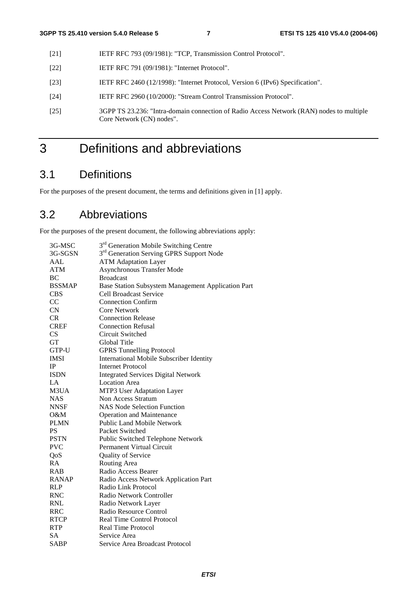- [21] IETF RFC 793 (09/1981): "TCP, Transmission Control Protocol".
- [22] **IETF RFC 791 (09/1981): "Internet Protocol".**
- [23] IETF RFC 2460 (12/1998): "Internet Protocol, Version 6 (IPv6) Specification".
- [24] IETF RFC 2960 (10/2000): "Stream Control Transmission Protocol".
- [25] 3GPP TS 23.236: "Intra-domain connection of Radio Access Network (RAN) nodes to multiple Core Network (CN) nodes".

## 3 Definitions and abbreviations

### 3.1 Definitions

For the purposes of the present document, the terms and definitions given in [1] apply.

## 3.2 Abbreviations

For the purposes of the present document, the following abbreviations apply:

| 3G-MSC        | 3 <sup>rd</sup> Generation Mobile Switching Centre   |
|---------------|------------------------------------------------------|
| 3G-SGSN       | 3 <sup>rd</sup> Generation Serving GPRS Support Node |
| AAL           | <b>ATM Adaptation Layer</b>                          |
| <b>ATM</b>    | <b>Asynchronous Transfer Mode</b>                    |
| <b>BC</b>     | <b>Broadcast</b>                                     |
| <b>BSSMAP</b> | Base Station Subsystem Management Application Part   |
| <b>CBS</b>    | Cell Broadcast Service                               |
| CC            | <b>Connection Confirm</b>                            |
| <b>CN</b>     | <b>Core Network</b>                                  |
| <b>CR</b>     | <b>Connection Release</b>                            |
| <b>CREF</b>   | <b>Connection Refusal</b>                            |
| CS            | Circuit Switched                                     |
| <b>GT</b>     | Global Title                                         |
| GTP-U         | <b>GPRS Tunnelling Protocol</b>                      |
| <b>IMSI</b>   | International Mobile Subscriber Identity             |
| IP            | <b>Internet Protocol</b>                             |
| <b>ISDN</b>   | <b>Integrated Services Digital Network</b>           |
| LA            | <b>Location Area</b>                                 |
| M3UA          | MTP3 User Adaptation Layer                           |
| <b>NAS</b>    | Non Access Stratum                                   |
| <b>NNSF</b>   | <b>NAS Node Selection Function</b>                   |
| O&M           | <b>Operation and Maintenance</b>                     |
| <b>PLMN</b>   | <b>Public Land Mobile Network</b>                    |
| <b>PS</b>     | Packet Switched                                      |
| <b>PSTN</b>   | Public Switched Telephone Network                    |
| <b>PVC</b>    | Permanent Virtual Circuit                            |
| QoS           | Quality of Service                                   |
| RA            | Routing Area                                         |
| <b>RAB</b>    | Radio Access Bearer                                  |
| <b>RANAP</b>  | Radio Access Network Application Part                |
| <b>RLP</b>    | Radio Link Protocol                                  |
| <b>RNC</b>    | Radio Network Controller                             |
| <b>RNL</b>    | Radio Network Layer                                  |
| <b>RRC</b>    | Radio Resource Control                               |
| <b>RTCP</b>   | <b>Real Time Control Protocol</b>                    |
| <b>RTP</b>    | Real Time Protocol                                   |
| <b>SA</b>     | Service Area                                         |
| <b>SABP</b>   | Service Area Broadcast Protocol                      |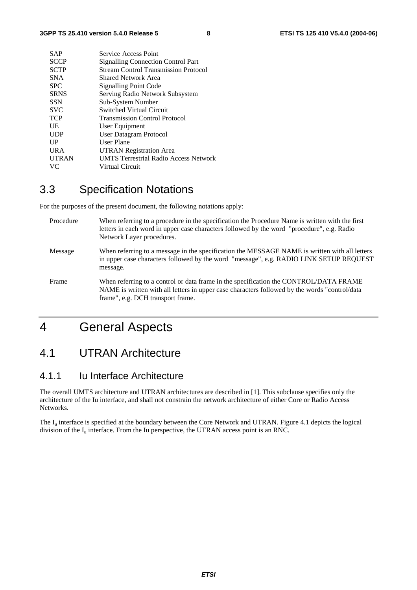| <b>SAP</b>   | Service Access Point                         |
|--------------|----------------------------------------------|
| <b>SCCP</b>  | <b>Signalling Connection Control Part</b>    |
| <b>SCTP</b>  | <b>Stream Control Transmission Protocol</b>  |
| <b>SNA</b>   | Shared Network Area                          |
| <b>SPC</b>   | <b>Signalling Point Code</b>                 |
| <b>SRNS</b>  | Serving Radio Network Subsystem              |
| <b>SSN</b>   | Sub-System Number                            |
| <b>SVC</b>   | <b>Switched Virtual Circuit</b>              |
| <b>TCP</b>   | <b>Transmission Control Protocol</b>         |
| UE           | User Equipment                               |
| <b>UDP</b>   | User Datagram Protocol                       |
| UP           | User Plane                                   |
| <b>URA</b>   | <b>UTRAN Registration Area</b>               |
| <b>UTRAN</b> | <b>UMTS Terrestrial Radio Access Network</b> |
| VC.          | Virtual Circuit                              |
|              |                                              |

## 3.3 Specification Notations

For the purposes of the present document, the following notations apply:

| Procedure | When referring to a procedure in the specification the Procedure Name is written with the first<br>letters in each word in upper case characters followed by the word "procedure", e.g. Radio<br>Network Layer procedures.   |
|-----------|------------------------------------------------------------------------------------------------------------------------------------------------------------------------------------------------------------------------------|
| Message   | When referring to a message in the specification the MESSAGE NAME is written with all letters<br>in upper case characters followed by the word "message", e.g. RADIO LINK SETUP REQUEST<br>message.                          |
| Frame     | When referring to a control or data frame in the specification the CONTROL/DATA FRAME<br>NAME is written with all letters in upper case characters followed by the words "control/data"<br>frame", e.g. DCH transport frame. |

## 4 General Aspects

### 4.1 UTRAN Architecture

### 4.1.1 Iu Interface Architecture

The overall UMTS architecture and UTRAN architectures are described in [1]. This subclause specifies only the architecture of the Iu interface, and shall not constrain the network architecture of either Core or Radio Access Networks.

The  $I_{\text{u}}$  interface is specified at the boundary between the Core Network and UTRAN. Figure 4.1 depicts the logical division of the  $I_u$  interface. From the Iu perspective, the UTRAN access point is an RNC.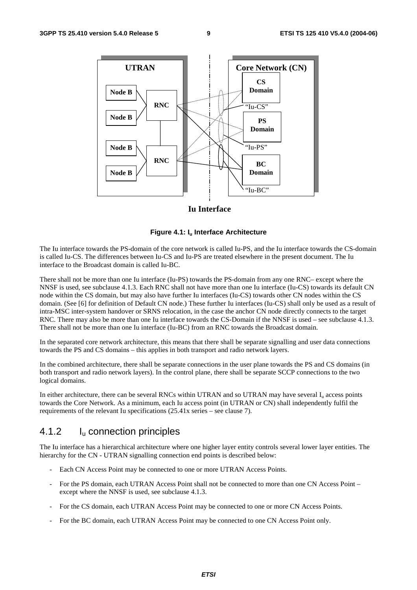

#### **Iu Interface**

#### **Figure 4.1: Iu Interface Architecture**

The Iu interface towards the PS-domain of the core network is called Iu-PS, and the Iu interface towards the CS-domain is called Iu-CS. The differences between Iu-CS and Iu-PS are treated elsewhere in the present document. The Iu interface to the Broadcast domain is called Iu-BC.

There shall not be more than one Iu interface (Iu-PS) towards the PS-domain from any one RNC– except where the NNSF is used, see subclause 4.1.3. Each RNC shall not have more than one Iu interface (Iu-CS) towards its default CN node within the CS domain, but may also have further Iu interfaces (Iu-CS) towards other CN nodes within the CS domain. (See [6] for definition of Default CN node.) These further Iu interfaces (Iu-CS) shall only be used as a result of intra-MSC inter-system handover or SRNS relocation, in the case the anchor CN node directly connects to the target RNC. There may also be more than one Iu interface towards the CS-Domain if the NNSF is used – see subclause 4.1.3. There shall not be more than one Iu interface (Iu-BC) from an RNC towards the Broadcast domain.

In the separated core network architecture, this means that there shall be separate signalling and user data connections towards the PS and CS domains – this applies in both transport and radio network layers.

In the combined architecture, there shall be separate connections in the user plane towards the PS and CS domains (in both transport and radio network layers). In the control plane, there shall be separate SCCP connections to the two logical domains.

In either architecture, there can be several RNCs within UTRAN and so UTRAN may have several  $I_u$  access points towards the Core Network. As a minimum, each Iu access point (in UTRAN or CN) shall independently fulfil the requirements of the relevant Iu specifications (25.41x series – see clause 7).

#### 4.1.2 Iu connection principles

The Iu interface has a hierarchical architecture where one higher layer entity controls several lower layer entities. The hierarchy for the CN - UTRAN signalling connection end points is described below:

- Each CN Access Point may be connected to one or more UTRAN Access Points.
- For the PS domain, each UTRAN Access Point shall not be connected to more than one CN Access Point except where the NNSF is used, see subclause 4.1.3.
- For the CS domain, each UTRAN Access Point may be connected to one or more CN Access Points.
- For the BC domain, each UTRAN Access Point may be connected to one CN Access Point only.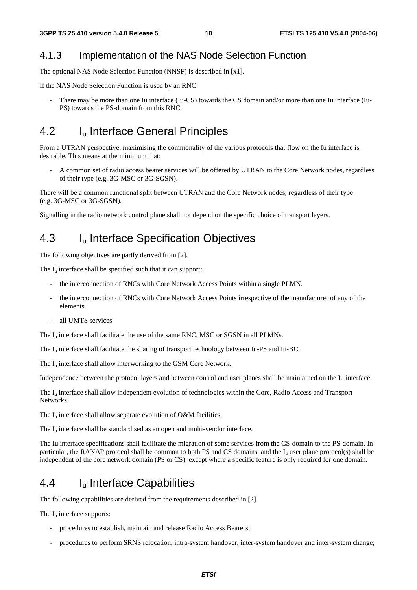### 4.1.3 Implementation of the NAS Node Selection Function

The optional NAS Node Selection Function (NNSF) is described in [x1].

If the NAS Node Selection Function is used by an RNC:

There may be more than one Iu interface (Iu-CS) towards the CS domain and/or more than one Iu interface (Iu-PS) towards the PS-domain from this RNC.

### 4.2 I<sub>u</sub> Interface General Principles

From a UTRAN perspective, maximising the commonality of the various protocols that flow on the Iu interface is desirable. This means at the minimum that:

- A common set of radio access bearer services will be offered by UTRAN to the Core Network nodes, regardless of their type (e.g. 3G-MSC or 3G-SGSN).

There will be a common functional split between UTRAN and the Core Network nodes, regardless of their type (e.g. 3G-MSC or 3G-SGSN).

Signalling in the radio network control plane shall not depend on the specific choice of transport layers.

### 4.3 I<sub>u</sub> Interface Specification Objectives

The following objectives are partly derived from [2].

The  $I<sub>u</sub>$  interface shall be specified such that it can support:

- the interconnection of RNCs with Core Network Access Points within a single PLMN.
- the interconnection of RNCs with Core Network Access Points irrespective of the manufacturer of any of the elements.
- all UMTS services.

The  $I_{\text{u}}$  interface shall facilitate the use of the same RNC, MSC or SGSN in all PLMNs.

The  $I_{\text{u}}$  interface shall facilitate the sharing of transport technology between Iu-PS and Iu-BC.

The  $I_u$  interface shall allow interworking to the GSM Core Network.

Independence between the protocol layers and between control and user planes shall be maintained on the Iu interface.

The  $I_{\text{u}}$  interface shall allow independent evolution of technologies within the Core, Radio Access and Transport Networks.

The  $I_u$  interface shall allow separate evolution of O&M facilities.

The  $I_{\nu}$  interface shall be standardised as an open and multi-vendor interface.

The Iu interface specifications shall facilitate the migration of some services from the CS-domain to the PS-domain. In particular, the RANAP protocol shall be common to both PS and CS domains, and the  $I<sub>u</sub>$  user plane protocol(s) shall be independent of the core network domain (PS or CS), except where a specific feature is only required for one domain.

### 4.4 Iu Interface Capabilities

The following capabilities are derived from the requirements described in [2].

The  $I_{\text{u}}$  interface supports:

- procedures to establish, maintain and release Radio Access Bearers;
- procedures to perform SRNS relocation, intra-system handover, inter-system handover and inter-system change;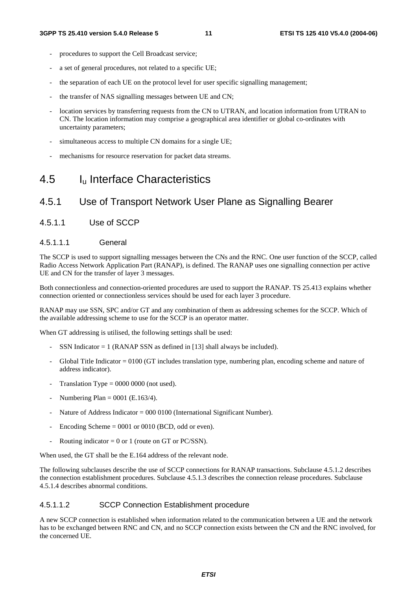- procedures to support the Cell Broadcast service;
- a set of general procedures, not related to a specific UE;
- the separation of each UE on the protocol level for user specific signalling management;
- the transfer of NAS signalling messages between UE and CN;
- location services by transferring requests from the CN to UTRAN, and location information from UTRAN to CN. The location information may comprise a geographical area identifier or global co-ordinates with uncertainty parameters;
- simultaneous access to multiple CN domains for a single UE;
- mechanisms for resource reservation for packet data streams.

## 4.5 Iu Interface Characteristics

### 4.5.1 Use of Transport Network User Plane as Signalling Bearer

4.5.1.1 Use of SCCP

#### 4.5.1.1.1 General

The SCCP is used to support signalling messages between the CNs and the RNC. One user function of the SCCP, called Radio Access Network Application Part (RANAP), is defined. The RANAP uses one signalling connection per active UE and CN for the transfer of layer 3 messages.

Both connectionless and connection-oriented procedures are used to support the RANAP. TS 25.413 explains whether connection oriented or connectionless services should be used for each layer 3 procedure.

RANAP may use SSN, SPC and/or GT and any combination of them as addressing schemes for the SCCP. Which of the available addressing scheme to use for the SCCP is an operator matter.

When GT addressing is utilised, the following settings shall be used:

- SSN Indicator  $= 1$  (RANAP SSN as defined in [13] shall always be included).
- Global Title Indicator  $= 0100$  (GT includes translation type, numbering plan, encoding scheme and nature of address indicator).
- Translation Type =  $0000 0000$  (not used).
- Numbering Plan =  $0001$  (E.163/4).
- Nature of Address Indicator = 000 0100 (International Significant Number).
- Encoding Scheme  $= 0001$  or 0010 (BCD, odd or even).
- Routing indicator = 0 or 1 (route on GT or PC/SSN).

When used, the GT shall be the E.164 address of the relevant node.

The following subclauses describe the use of SCCP connections for RANAP transactions. Subclause 4.5.1.2 describes the connection establishment procedures. Subclause 4.5.1.3 describes the connection release procedures. Subclause 4.5.1.4 describes abnormal conditions.

#### 4.5.1.1.2 SCCP Connection Establishment procedure

A new SCCP connection is established when information related to the communication between a UE and the network has to be exchanged between RNC and CN, and no SCCP connection exists between the CN and the RNC involved, for the concerned UE.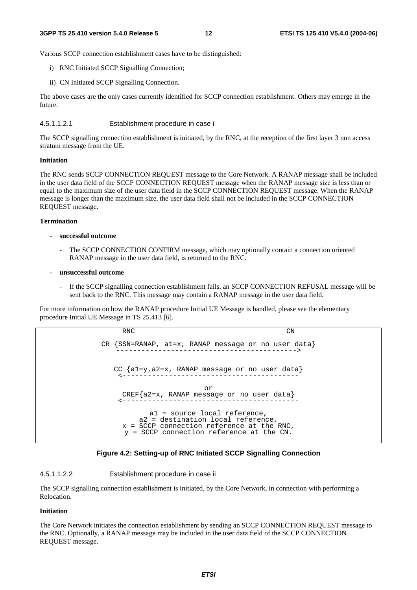Various SCCP connection establishment cases have to be distinguished:

- i) RNC Initiated SCCP Signalling Connection;
- ii) CN Initiated SCCP Signalling Connection.

The above cases are the only cases currently identified for SCCP connection establishment. Others may emerge in the future.

4.5.1.1.2.1 Establishment procedure in case i

The SCCP signalling connection establishment is initiated, by the RNC, at the reception of the first layer 3 non access stratum message from the UE.

#### **Initiation**

The RNC sends SCCP CONNECTION REQUEST message to the Core Network. A RANAP message shall be included in the user data field of the SCCP CONNECTION REQUEST message when the RANAP message size is less than or equal to the maximum size of the user data field in the SCCP CONNECTION REQUEST message. When the RANAP message is longer than the maximum size, the user data field shall not be included in the SCCP CONNECTION REQUEST message.

#### **Termination**

- **successful outcome** 
	- The SCCP CONNECTION CONFIRM message, which may optionally contain a connection oriented RANAP message in the user data field, is returned to the RNC.
- **unsuccessful outcome** 
	- If the SCCP signalling connection establishment fails, an SCCP CONNECTION REFUSAL message will be sent back to the RNC. This message may contain a RANAP message in the user data field.

For more information on how the RANAP procedure Initial UE Message is handled, please see the elementary procedure Initial UE Message in TS 25.413 [6].

```
RNC CN
CR {SSN=RANAP, a1=x, RANAP message or no user data} 
   -------------------------------------------> 
  CC {a1=y,a2=x, RANAP message or no user data} 
    <------------------------------------------ 
                       or 
    CREF{a2=x, RANAP message or no user data} 
    <------------------------------------------ 
           a1 = source local reference, 
        a2 = destination local reference, 
    x = SCCP connection reference at the RNC,
     y = SCCP connection reference at the CN.
```


#### 4.5.1.1.2.2 Establishment procedure in case ii

The SCCP signalling connection establishment is initiated, by the Core Network, in connection with performing a Relocation.

#### **Initiation**

The Core Network initiates the connection establishment by sending an SCCP CONNECTION REQUEST message to the RNC. Optionally, a RANAP message may be included in the user data field of the SCCP CONNECTION REQUEST message.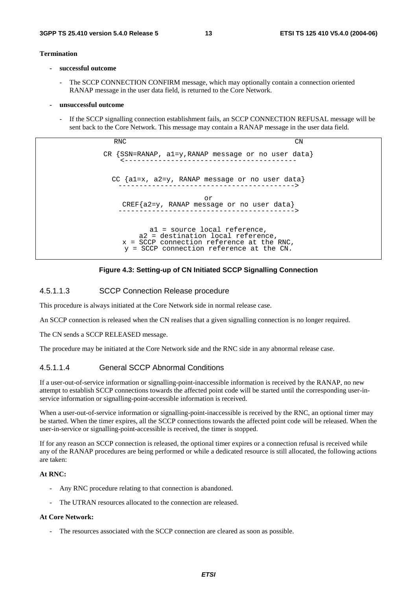#### **Termination**

- **successful outcome** 
	- The SCCP CONNECTION CONFIRM message, which may optionally contain a connection oriented RANAP message in the user data field, is returned to the Core Network.
- **unsuccessful outcome** 
	- If the SCCP signalling connection establishment fails, an SCCP CONNECTION REFUSAL message will be sent back to the Core Network. This message may contain a RANAP message in the user data field.

RNC CN CR {SSN=RANAP, a1=y,RANAP message or no user data} <----------------------------------------- CC {a1=x, a2=y, RANAP message or no user data} ------------------------------------------> or CREF{a2=y, RANAP message or no user data} ------------------------------------------> a1 = source local reference, a2 = destination local reference, x = SCCP connection reference at the RNC, y = SCCP connection reference at the CN.



#### 4.5.1.1.3 SCCP Connection Release procedure

This procedure is always initiated at the Core Network side in normal release case.

An SCCP connection is released when the CN realises that a given signalling connection is no longer required.

The CN sends a SCCP RELEASED message.

The procedure may be initiated at the Core Network side and the RNC side in any abnormal release case.

#### 4.5.1.1.4 General SCCP Abnormal Conditions

If a user-out-of-service information or signalling-point-inaccessible information is received by the RANAP, no new attempt to establish SCCP connections towards the affected point code will be started until the corresponding user-inservice information or signalling-point-accessible information is received.

When a user-out-of-service information or signalling-point-inaccessible is received by the RNC, an optional timer may be started. When the timer expires, all the SCCP connections towards the affected point code will be released. When the user-in-service or signalling-point-accessible is received, the timer is stopped.

If for any reason an SCCP connection is released, the optional timer expires or a connection refusal is received while any of the RANAP procedures are being performed or while a dedicated resource is still allocated, the following actions are taken:

#### **At RNC:**

- Any RNC procedure relating to that connection is abandoned.
- The UTRAN resources allocated to the connection are released.

#### **At Core Network:**

The resources associated with the SCCP connection are cleared as soon as possible.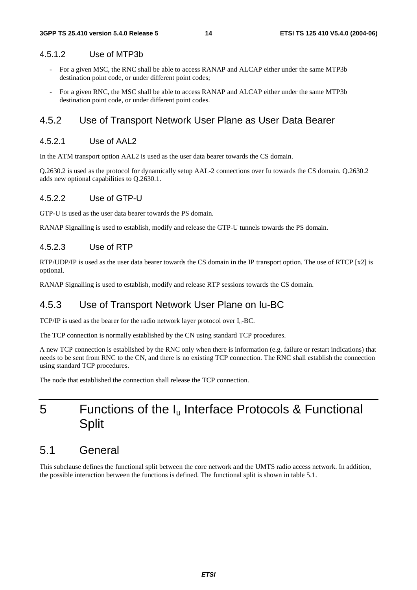#### 4.5.1.2 Use of MTP3b

- For a given MSC, the RNC shall be able to access RANAP and ALCAP either under the same MTP3b destination point code, or under different point codes;
- For a given RNC, the MSC shall be able to access RANAP and ALCAP either under the same MTP3b destination point code, or under different point codes.

#### 4.5.2 Use of Transport Network User Plane as User Data Bearer

#### 4.5.2.1 Use of AAL2

In the ATM transport option AAL2 is used as the user data bearer towards the CS domain.

Q.2630.2 is used as the protocol for dynamically setup AAL-2 connections over Iu towards the CS domain. Q.2630.2 adds new optional capabilities to Q.2630.1.

#### 4.5.2.2 Use of GTP-U

GTP-U is used as the user data bearer towards the PS domain.

RANAP Signalling is used to establish, modify and release the GTP-U tunnels towards the PS domain.

#### 4.5.2.3 Use of RTP

RTP/UDP/IP is used as the user data bearer towards the CS domain in the IP transport option. The use of RTCP [x2] is optional.

RANAP Signalling is used to establish, modify and release RTP sessions towards the CS domain.

#### 4.5.3 Use of Transport Network User Plane on Iu-BC

TCP/IP is used as the bearer for the radio network layer protocol over  $I_u$ -BC.

The TCP connection is normally established by the CN using standard TCP procedures.

A new TCP connection is established by the RNC only when there is information (e.g. failure or restart indications) that needs to be sent from RNC to the CN, and there is no existing TCP connection. The RNC shall establish the connection using standard TCP procedures.

The node that established the connection shall release the TCP connection.

## 5 Functions of the I<sub>u</sub> Interface Protocols & Functional **Split**

### 5.1 General

This subclause defines the functional split between the core network and the UMTS radio access network. In addition, the possible interaction between the functions is defined. The functional split is shown in table 5.1.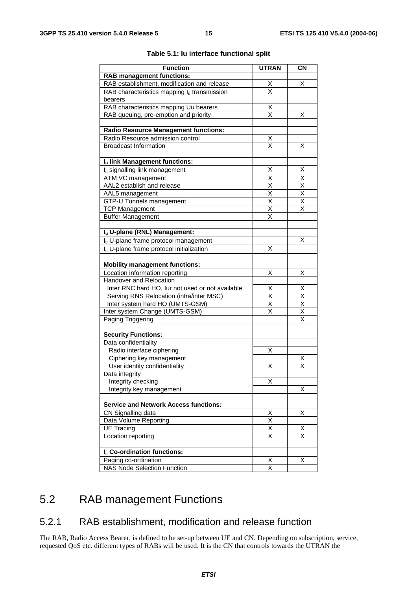| <b>Function</b>                                      | <b>UTRAN</b>                        | <b>CN</b>               |
|------------------------------------------------------|-------------------------------------|-------------------------|
| <b>RAB management functions:</b>                     |                                     |                         |
| RAB establishment, modification and release          |                                     | х                       |
| RAB characteristics mapping $I_u$ transmission       | $\frac{\mathsf{X}}{\mathsf{X}}$     |                         |
| bearers                                              |                                     |                         |
| RAB characteristics mapping Uu bearers               |                                     |                         |
| RAB queuing, pre-emption and priority                | $\frac{\mathsf{X}}{\mathsf{X}}$     | х                       |
|                                                      |                                     |                         |
| <b>Radio Resource Management functions:</b>          |                                     |                         |
| Radio Resource admission control                     | <u>X</u>                            |                         |
| <b>Broadcast Information</b>                         | $\overline{\mathsf{x}}$             | Χ                       |
|                                                      |                                     |                         |
| Iu link Management functions:                        |                                     |                         |
| I <sub>u</sub> signalling link management            | Χ                                   | X                       |
| <b>ATM VC management</b>                             | X                                   | $\overline{\mathsf{X}}$ |
| AAL2 establish and release                           |                                     | $\overline{\mathsf{X}}$ |
| AAL5 management                                      | $\frac{\overline{x}}{\overline{x}}$ | $\overline{\mathsf{x}}$ |
| GTP-U Tunnels management                             | $\overline{\mathsf{x}}$             | X                       |
| <b>TCP Management</b>                                | $\overline{\mathsf{x}}$             | $\overline{\mathsf{x}}$ |
| <b>Buffer Management</b>                             | X                                   |                         |
|                                                      |                                     |                         |
| Iu U-plane (RNL) Management:                         |                                     |                         |
| I <sub>u</sub> U-plane frame protocol management     |                                     | x                       |
| I <sub>u</sub> U-plane frame protocol initialization | X                                   |                         |
|                                                      |                                     |                         |
| <b>Mobility management functions:</b>                |                                     |                         |
| Location information reporting                       | Χ                                   | х                       |
| Handover and Relocation                              |                                     |                         |
| Inter RNC hard HO, lur not used or not available     | X                                   | <u>X</u>                |
| Serving RNS Relocation (intra/inter MSC)             | $\overline{\mathsf{x}}$             | $\overline{\mathsf{x}}$ |
| Inter system hard HO (UMTS-GSM)                      | $\overline{\mathsf{x}}$             | $\overline{\mathsf{x}}$ |
| Inter system Change (UMTS-GSM)                       | X                                   | $\overline{\mathsf{x}}$ |
| Paging Triggering                                    |                                     | $\overline{\mathsf{x}}$ |
|                                                      |                                     |                         |
| <b>Security Functions:</b>                           |                                     |                         |
| Data confidentiality                                 |                                     |                         |
| Radio interface ciphering                            | Χ                                   |                         |
| Ciphering key management                             |                                     | Χ                       |
| User identity confidentiality                        | Χ                                   | X                       |
| Data integrity                                       |                                     |                         |
| Integrity checking                                   | X                                   |                         |
| Integrity key management                             |                                     | Χ                       |
|                                                      |                                     |                         |
| <b>Service and Network Access functions:</b>         |                                     |                         |
| CN Signalling data                                   | $\times$                            | Χ                       |
| Data Volume Reporting                                | $\overline{\mathsf{x}}$             |                         |
| <b>UE Tracing</b>                                    | $\overline{\mathsf{x}}$             | х                       |
| Location reporting                                   | $\overline{\mathsf{x}}$             | $\overline{\mathsf{x}}$ |
|                                                      |                                     |                         |
| I <sub>u</sub> Co-ordination functions:              |                                     |                         |
| Paging co-ordination                                 | х                                   | х                       |
| <b>NAS Node Selection Function</b>                   | X                                   |                         |

#### **Table 5.1: Iu interface functional split**

## 5.2 RAB management Functions

### 5.2.1 RAB establishment, modification and release function

The RAB, Radio Access Bearer, is defined to be set-up between UE and CN. Depending on subscription, service, requested QoS etc. different types of RABs will be used. It is the CN that controls towards the UTRAN the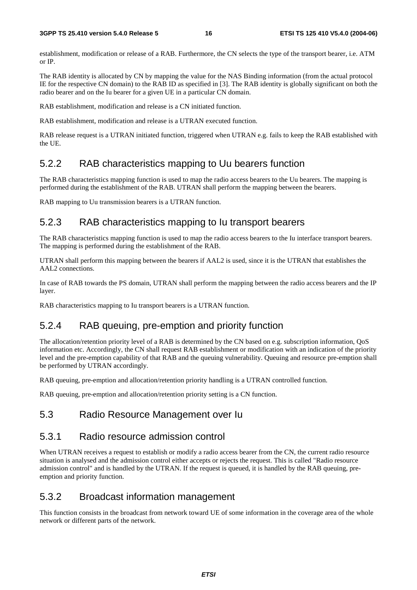establishment, modification or release of a RAB. Furthermore, the CN selects the type of the transport bearer, i.e. ATM or IP.

The RAB identity is allocated by CN by mapping the value for the NAS Binding information (from the actual protocol IE for the respective CN domain) to the RAB ID as specified in [3]. The RAB identity is globally significant on both the radio bearer and on the Iu bearer for a given UE in a particular CN domain.

RAB establishment, modification and release is a CN initiated function.

RAB establishment, modification and release is a UTRAN executed function.

RAB release request is a UTRAN initiated function, triggered when UTRAN e.g. fails to keep the RAB established with the UE.

#### 5.2.2 RAB characteristics mapping to Uu bearers function

The RAB characteristics mapping function is used to map the radio access bearers to the Uu bearers. The mapping is performed during the establishment of the RAB. UTRAN shall perform the mapping between the bearers.

RAB mapping to Uu transmission bearers is a UTRAN function.

#### 5.2.3 RAB characteristics mapping to Iu transport bearers

The RAB characteristics mapping function is used to map the radio access bearers to the Iu interface transport bearers. The mapping is performed during the establishment of the RAB.

UTRAN shall perform this mapping between the bearers if AAL2 is used, since it is the UTRAN that establishes the AAL2 connections.

In case of RAB towards the PS domain, UTRAN shall perform the mapping between the radio access bearers and the IP layer.

RAB characteristics mapping to Iu transport bearers is a UTRAN function.

#### 5.2.4 RAB queuing, pre-emption and priority function

The allocation/retention priority level of a RAB is determined by the CN based on e.g. subscription information, QoS information etc. Accordingly, the CN shall request RAB establishment or modification with an indication of the priority level and the pre-emption capability of that RAB and the queuing vulnerability. Queuing and resource pre-emption shall be performed by UTRAN accordingly.

RAB queuing, pre-emption and allocation/retention priority handling is a UTRAN controlled function.

RAB queuing, pre-emption and allocation/retention priority setting is a CN function.

#### 5.3 Radio Resource Management over Iu

#### 5.3.1 Radio resource admission control

When UTRAN receives a request to establish or modify a radio access bearer from the CN, the current radio resource situation is analysed and the admission control either accepts or rejects the request. This is called "Radio resource admission control" and is handled by the UTRAN. If the request is queued, it is handled by the RAB queuing, preemption and priority function.

#### 5.3.2 Broadcast information management

This function consists in the broadcast from network toward UE of some information in the coverage area of the whole network or different parts of the network.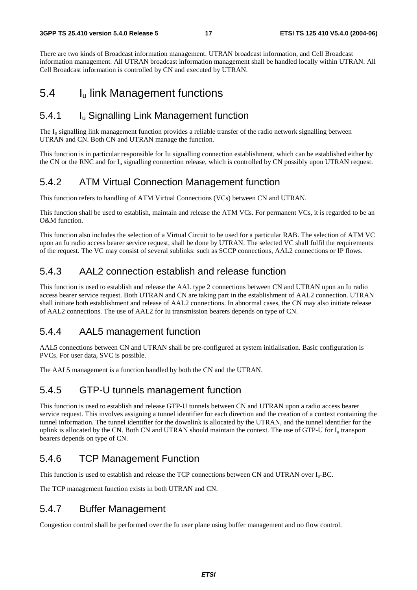There are two kinds of Broadcast information management. UTRAN broadcast information, and Cell Broadcast information management. All UTRAN broadcast information management shall be handled locally within UTRAN. All Cell Broadcast information is controlled by CN and executed by UTRAN.

### 5.4 Iu link Management functions

### 5.4.1 Iu Signalling Link Management function

The  $I<sub>u</sub>$  signalling link management function provides a reliable transfer of the radio network signalling between UTRAN and CN. Both CN and UTRAN manage the function.

This function is in particular responsible for Iu signalling connection establishment, which can be established either by the CN or the RNC and for  $I_u$  signalling connection release, which is controlled by CN possibly upon UTRAN request.

### 5.4.2 ATM Virtual Connection Management function

This function refers to handling of ATM Virtual Connections (VCs) between CN and UTRAN.

This function shall be used to establish, maintain and release the ATM VCs. For permanent VCs, it is regarded to be an O&M function.

This function also includes the selection of a Virtual Circuit to be used for a particular RAB. The selection of ATM VC upon an Iu radio access bearer service request, shall be done by UTRAN. The selected VC shall fulfil the requirements of the request. The VC may consist of several sublinks: such as SCCP connections, AAL2 connections or IP flows.

### 5.4.3 AAL2 connection establish and release function

This function is used to establish and release the AAL type 2 connections between CN and UTRAN upon an Iu radio access bearer service request. Both UTRAN and CN are taking part in the establishment of AAL2 connection. UTRAN shall initiate both establishment and release of AAL2 connections. In abnormal cases, the CN may also initiate release of AAL2 connections. The use of AAL2 for Iu transmission bearers depends on type of CN.

### 5.4.4 AAL5 management function

AAL5 connections between CN and UTRAN shall be pre-configured at system initialisation. Basic configuration is PVCs. For user data, SVC is possible.

The AAL5 management is a function handled by both the CN and the UTRAN.

### 5.4.5 GTP-U tunnels management function

This function is used to establish and release GTP-U tunnels between CN and UTRAN upon a radio access bearer service request. This involves assigning a tunnel identifier for each direction and the creation of a context containing the tunnel information. The tunnel identifier for the downlink is allocated by the UTRAN, and the tunnel identifier for the uplink is allocated by the CN. Both CN and UTRAN should maintain the context. The use of GTP-U for  $I<sub>u</sub>$  transport bearers depends on type of CN.

### 5.4.6 TCP Management Function

This function is used to establish and release the TCP connections between CN and UTRAN over  $I_u$ -BC.

The TCP management function exists in both UTRAN and CN.

### 5.4.7 Buffer Management

Congestion control shall be performed over the Iu user plane using buffer management and no flow control.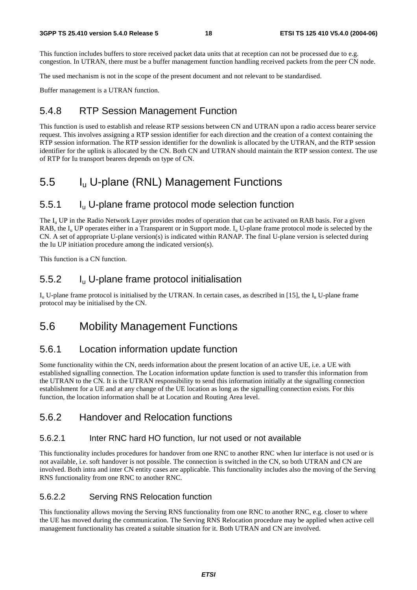This function includes buffers to store received packet data units that at reception can not be processed due to e.g. congestion. In UTRAN, there must be a buffer management function handling received packets from the peer CN node.

The used mechanism is not in the scope of the present document and not relevant to be standardised.

Buffer management is a UTRAN function.

#### 5.4.8 RTP Session Management Function

This function is used to establish and release RTP sessions between CN and UTRAN upon a radio access bearer service request. This involves assigning a RTP session identifier for each direction and the creation of a context containing the RTP session information. The RTP session identifier for the downlink is allocated by the UTRAN, and the RTP session identifier for the uplink is allocated by the CN. Both CN and UTRAN should maintain the RTP session context. The use of RTP for Iu transport bearers depends on type of CN.

### 5.5 Iu U-plane (RNL) Management Functions

### 5.5.1 Iu U-plane frame protocol mode selection function

The I<sub>u</sub> UP in the Radio Network Layer provides modes of operation that can be activated on RAB basis. For a given RAB, the  $I_{\text{u}}$  UP operates either in a Transparent or in Support mode.  $I_{\text{u}}$  U-plane frame protocol mode is selected by the CN. A set of appropriate U-plane version(s) is indicated within RANAP. The final U-plane version is selected during the Iu UP initiation procedure among the indicated version(s).

This function is a CN function.

#### 5.5.2 Iu U-plane frame protocol initialisation

 $I_{u}$  U-plane frame protocol is initialised by the UTRAN. In certain cases, as described in [15], the  $I_{u}$  U-plane frame protocol may be initialised by the CN.

### 5.6 Mobility Management Functions

### 5.6.1 Location information update function

Some functionality within the CN, needs information about the present location of an active UE, i.e. a UE with established signalling connection. The Location information update function is used to transfer this information from the UTRAN to the CN. It is the UTRAN responsibility to send this information initially at the signalling connection establishment for a UE and at any change of the UE location as long as the signalling connection exists. For this function, the location information shall be at Location and Routing Area level.

#### 5.6.2 Handover and Relocation functions

#### 5.6.2.1 Inter RNC hard HO function, Iur not used or not available

This functionality includes procedures for handover from one RNC to another RNC when Iur interface is not used or is not available, i.e. soft handover is not possible. The connection is switched in the CN, so both UTRAN and CN are involved. Both intra and inter CN entity cases are applicable. This functionality includes also the moving of the Serving RNS functionality from one RNC to another RNC.

#### 5.6.2.2 Serving RNS Relocation function

This functionality allows moving the Serving RNS functionality from one RNC to another RNC, e.g. closer to where the UE has moved during the communication. The Serving RNS Relocation procedure may be applied when active cell management functionality has created a suitable situation for it. Both UTRAN and CN are involved.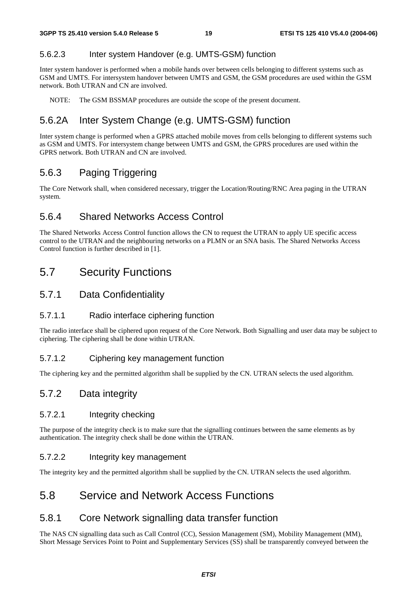#### 5.6.2.3 Inter system Handover (e.g. UMTS-GSM) function

Inter system handover is performed when a mobile hands over between cells belonging to different systems such as GSM and UMTS. For intersystem handover between UMTS and GSM, the GSM procedures are used within the GSM network. Both UTRAN and CN are involved.

NOTE: The GSM BSSMAP procedures are outside the scope of the present document.

### 5.6.2A Inter System Change (e.g. UMTS-GSM) function

Inter system change is performed when a GPRS attached mobile moves from cells belonging to different systems such as GSM and UMTS. For intersystem change between UMTS and GSM, the GPRS procedures are used within the GPRS network. Both UTRAN and CN are involved.

### 5.6.3 Paging Triggering

The Core Network shall, when considered necessary, trigger the Location/Routing/RNC Area paging in the UTRAN system.

#### 5.6.4 Shared Networks Access Control

The Shared Networks Access Control function allows the CN to request the UTRAN to apply UE specific access control to the UTRAN and the neighbouring networks on a PLMN or an SNA basis. The Shared Networks Access Control function is further described in [1].

### 5.7 Security Functions

#### 5.7.1 Data Confidentiality

#### 5.7.1.1 Radio interface ciphering function

The radio interface shall be ciphered upon request of the Core Network. Both Signalling and user data may be subject to ciphering. The ciphering shall be done within UTRAN.

#### 5.7.1.2 Ciphering key management function

The ciphering key and the permitted algorithm shall be supplied by the CN. UTRAN selects the used algorithm.

#### 5.7.2 Data integrity

#### 5.7.2.1 Integrity checking

The purpose of the integrity check is to make sure that the signalling continues between the same elements as by authentication. The integrity check shall be done within the UTRAN.

#### 5.7.2.2 Integrity key management

The integrity key and the permitted algorithm shall be supplied by the CN. UTRAN selects the used algorithm.

### 5.8 Service and Network Access Functions

#### 5.8.1 Core Network signalling data transfer function

The NAS CN signalling data such as Call Control (CC), Session Management (SM), Mobility Management (MM), Short Message Services Point to Point and Supplementary Services (SS) shall be transparently conveyed between the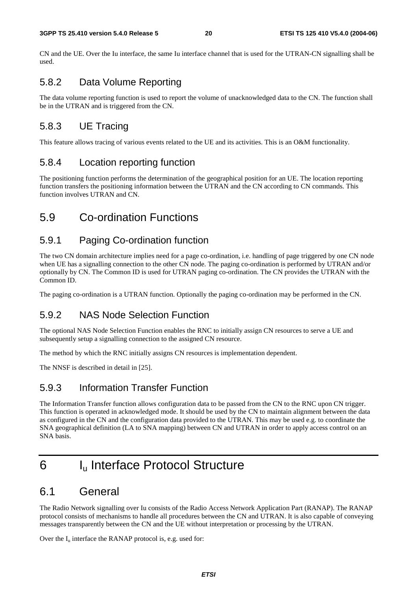CN and the UE. Over the Iu interface, the same Iu interface channel that is used for the UTRAN-CN signalling shall be used.

### 5.8.2 Data Volume Reporting

The data volume reporting function is used to report the volume of unacknowledged data to the CN. The function shall be in the UTRAN and is triggered from the CN.

### 5.8.3 UE Tracing

This feature allows tracing of various events related to the UE and its activities. This is an O&M functionality.

### 5.8.4 Location reporting function

The positioning function performs the determination of the geographical position for an UE. The location reporting function transfers the positioning information between the UTRAN and the CN according to CN commands. This function involves UTRAN and CN.

### 5.9 Co-ordination Functions

#### 5.9.1 Paging Co-ordination function

The two CN domain architecture implies need for a page co-ordination, i.e. handling of page triggered by one CN node when UE has a signalling connection to the other CN node. The paging co-ordination is performed by UTRAN and/or optionally by CN. The Common ID is used for UTRAN paging co-ordination. The CN provides the UTRAN with the Common ID.

The paging co-ordination is a UTRAN function. Optionally the paging co-ordination may be performed in the CN.

### 5.9.2 NAS Node Selection Function

The optional NAS Node Selection Function enables the RNC to initially assign CN resources to serve a UE and subsequently setup a signalling connection to the assigned CN resource.

The method by which the RNC initially assigns CN resources is implementation dependent.

The NNSF is described in detail in [25].

### 5.9.3 Information Transfer Function

The Information Transfer function allows configuration data to be passed from the CN to the RNC upon CN trigger. This function is operated in acknowledged mode. It should be used by the CN to maintain alignment between the data as configured in the CN and the configuration data provided to the UTRAN. This may be used e.g. to coordinate the SNA geographical definition (LA to SNA mapping) between CN and UTRAN in order to apply access control on an SNA basis.

## 6 Iu Interface Protocol Structure

### 6.1 General

The Radio Network signalling over Iu consists of the Radio Access Network Application Part (RANAP). The RANAP protocol consists of mechanisms to handle all procedures between the CN and UTRAN. It is also capable of conveying messages transparently between the CN and the UE without interpretation or processing by the UTRAN.

Over the  $I_u$  interface the RANAP protocol is, e.g. used for: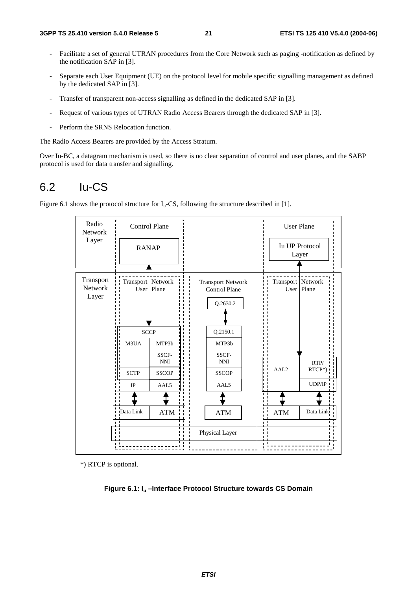- Facilitate a set of general UTRAN procedures from the Core Network such as paging -notification as defined by the notification SAP in [3].
- Separate each User Equipment (UE) on the protocol level for mobile specific signalling management as defined by the dedicated SAP in [3].
- Transfer of transparent non-access signalling as defined in the dedicated SAP in [3].
- Request of various types of UTRAN Radio Access Bearers through the dedicated SAP in [3].
- Perform the SRNS Relocation function.

The Radio Access Bearers are provided by the Access Stratum.

Over Iu-BC, a datagram mechanism is used, so there is no clear separation of control and user planes, and the SABP protocol is used for data transfer and signalling.

### 6.2 Iu-CS

Figure 6.1 shows the protocol structure for  $I_u$ -CS, following the structure described in [1].



\*) RTCP is optional.

**Figure 6.1: Iu –Interface Protocol Structure towards CS Domain**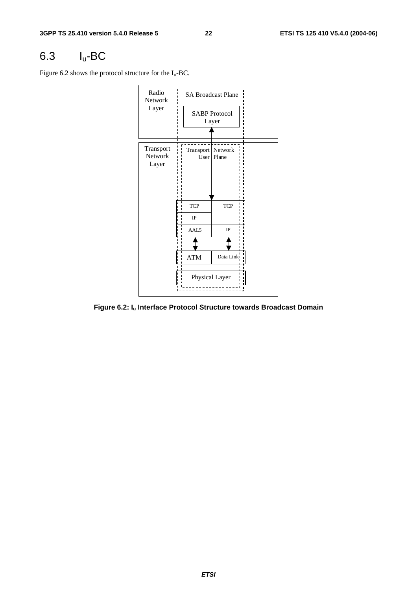## 6.3 Iu-BC

Figure 6.2 shows the protocol structure for the  $I_u$ -BC.



**Figure 6.2: Iu Interface Protocol Structure towards Broadcast Domain**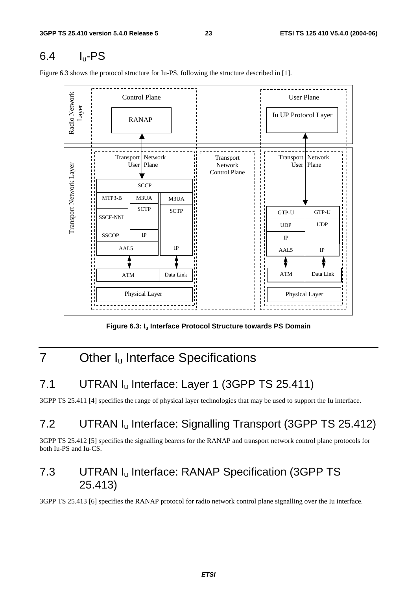### 6.4 Iu-PS

Figure 6.3 shows the protocol structure for Iu-PS, following the structure described in [1].



Figure 6.3: I<sub>u</sub> Interface Protocol Structure towards PS Domain

## 7 Other I<sub>u</sub> Interface Specifications

## 7.1 UTRAN I<sub>u</sub> Interface: Layer 1 (3GPP TS 25.411)

3GPP TS 25.411 [4] specifies the range of physical layer technologies that may be used to support the Iu interface.

## 7.2 UTRAN Iu Interface: Signalling Transport (3GPP TS 25.412)

3GPP TS 25.412 [5] specifies the signalling bearers for the RANAP and transport network control plane protocols for both Iu-PS and Iu-CS.

### 7.3 UTRAN Iu Interface: RANAP Specification (3GPP TS 25.413)

3GPP TS 25.413 [6] specifies the RANAP protocol for radio network control plane signalling over the Iu interface.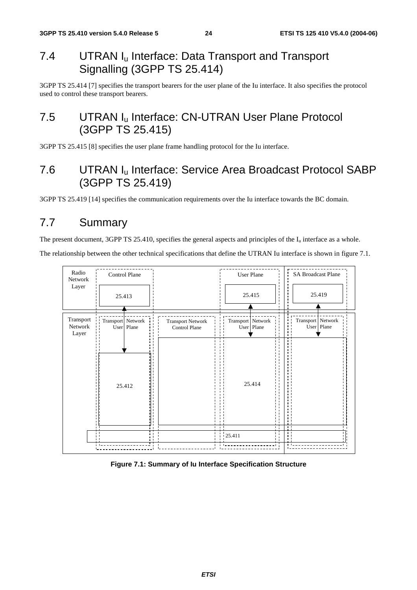### 7.4 UTRAN I<sub>u</sub> Interface: Data Transport and Transport Signalling (3GPP TS 25.414)

3GPP TS 25.414 [7] specifies the transport bearers for the user plane of the Iu interface. It also specifies the protocol used to control these transport bearers.

### 7.5 UTRAN I<sub>u</sub> Interface: CN-UTRAN User Plane Protocol (3GPP TS 25.415)

3GPP TS 25.415 [8] specifies the user plane frame handling protocol for the Iu interface.

### 7.6 UTRAN Iu Interface: Service Area Broadcast Protocol SABP (3GPP TS 25.419)

3GPP TS 25.419 [14] specifies the communication requirements over the Iu interface towards the BC domain.

### 7.7 Summary

The present document, 3GPP TS 25.410, specifies the general aspects and principles of the  $I_u$  interface as a whole.

The relationship between the other technical specifications that define the UTRAN Iu interface is shown in figure 7.1.



#### **Figure 7.1: Summary of Iu Interface Specification Structure**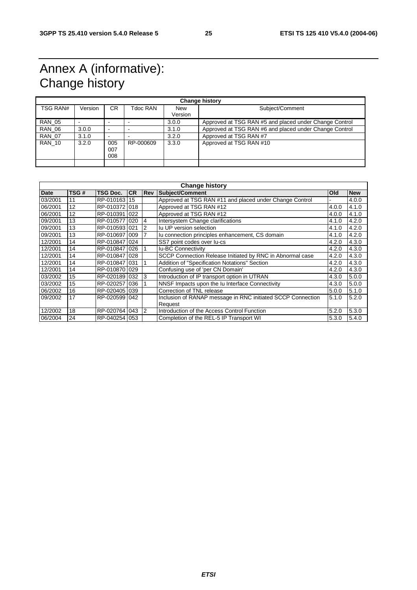## Annex A (informative): Change history

| <b>Change history</b> |         |                          |           |                       |                                                        |  |
|-----------------------|---------|--------------------------|-----------|-----------------------|--------------------------------------------------------|--|
| TSG RAN#              | Version | CR.                      | Tdoc RAN  | <b>New</b><br>Version | Subject/Comment                                        |  |
| <b>RAN 05</b>         |         | $\overline{\phantom{0}}$ |           | 3.0.0                 | Approved at TSG RAN #5 and placed under Change Control |  |
| <b>RAN 06</b>         | 3.0.0   | $\overline{\phantom{0}}$ |           | 3.1.0                 | Approved at TSG RAN #6 and placed under Change Control |  |
| <b>RAN 07</b>         | 3.1.0   | $\overline{\phantom{0}}$ |           | 3.2.0                 | Approved at TSG RAN #7                                 |  |
| <b>RAN 10</b>         | 3.2.0   | 005<br>007<br>800        | RP-000609 | 3.3.0                 | Approved at TSG RAN #10                                |  |
|                       |         |                          |           |                       |                                                        |  |

| <b>Change history</b> |      |               |           |            |                                                             |       |            |
|-----------------------|------|---------------|-----------|------------|-------------------------------------------------------------|-------|------------|
| Date                  | TSG# | TSG Doc.      | <b>CR</b> | <b>Rev</b> | Subject/Comment                                             | Old   | <b>New</b> |
| 03/2001               | 11   | RP-010163     | 15        |            | Approved at TSG RAN #11 and placed under Change Control     |       | 4.0.0      |
| 06/2001               | 12   | RP-010372 018 |           |            | Approved at TSG RAN #12                                     | 4.0.0 | 4.1.0      |
| 06/2001               | 12   | RP-0103911022 |           |            | Approved at TSG RAN #12                                     | 4.0.0 | 4.1.0      |
| 09/2001               | 13   | RP-010577 020 |           | 4          | Intersystem Change clarifications                           | 4.1.0 | 4.2.0      |
| 09/2001               | 13   | RP-0105931021 |           | 2          | Iu UP version selection                                     | 4.1.0 | 4.2.0      |
| 09/2001               | 13   | RP-0106971009 |           |            | Iu connection principles enhancement, CS domain             | 4.1.0 | 4.2.0      |
| 12/2001               | 14   | RP-010847 024 |           |            | SS7 point codes over lu-cs                                  | 4.2.0 | 4.3.0      |
| 12/2001               | 14   | RP-010847 026 |           |            | <b>Iu-BC Connectivity</b>                                   | 4.2.0 | 4.3.0      |
| 12/2001               | 14   | RP-010847 028 |           |            | SCCP Connection Release Initiated by RNC in Abnormal case   | 4.2.0 | 4.3.0      |
| 12/2001               | 14   | RP-010847 031 |           |            | <b>Addition of "Specification Notations" Section</b>        | 4.2.0 | 4.3.0      |
| 12/2001               | 14   | RP-010870 029 |           |            | Confusing use of 'per CN Domain'                            | 4.2.0 | 4.3.0      |
| 03/2002               | 15   | RP-0201891032 |           | 3          | Introduction of IP transport option in UTRAN                | 4.3.0 | 5.0.0      |
| 03/2002               | 15   | RP-0202571036 |           |            | NNSF Impacts upon the Iu Interface Connectivity             | 4.3.0 | 5.0.0      |
| 06/2002               | 16   | RP-020405 039 |           |            | Correction of TNL release                                   | 5.0.0 | 5.1.0      |
| 09/2002               | 17   | RP-0205991042 |           |            | Inclusion of RANAP message in RNC initiated SCCP Connection | 5.1.0 | 5.2.0      |
|                       |      |               |           |            | Request                                                     |       |            |
| 12/2002               | 18   | RP-020764     | 043       | 2          | Introduction of the Access Control Function                 | 5.2.0 | 5.3.0      |
| 06/2004               | 24   | RP-040254 053 |           |            | Completion of the REL-5 IP Transport WI                     | 5.3.0 | 5.4.0      |

#### **ETSI**